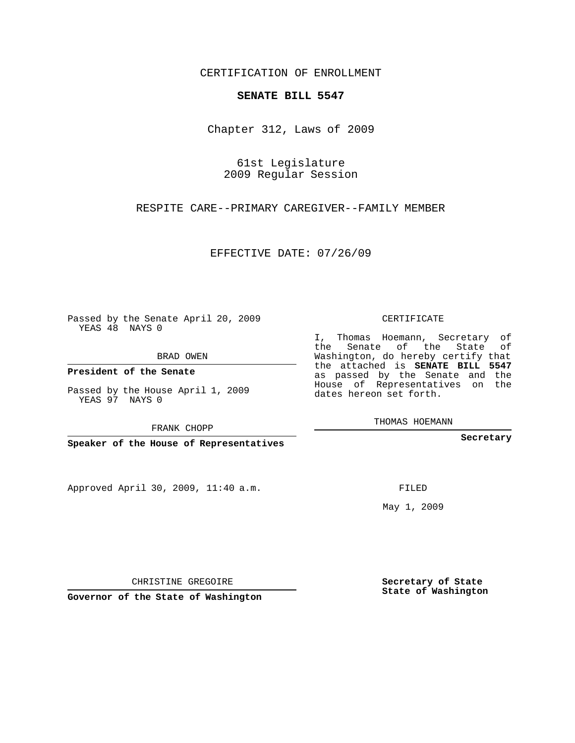CERTIFICATION OF ENROLLMENT

## **SENATE BILL 5547**

Chapter 312, Laws of 2009

61st Legislature 2009 Regular Session

RESPITE CARE--PRIMARY CAREGIVER--FAMILY MEMBER

EFFECTIVE DATE: 07/26/09

Passed by the Senate April 20, 2009 YEAS 48 NAYS 0

BRAD OWEN

**President of the Senate**

Passed by the House April 1, 2009 YEAS 97 NAYS 0

FRANK CHOPP

**Speaker of the House of Representatives**

Approved April 30, 2009, 11:40 a.m.

CERTIFICATE

I, Thomas Hoemann, Secretary of the Senate of the State of Washington, do hereby certify that the attached is **SENATE BILL 5547** as passed by the Senate and the House of Representatives on the dates hereon set forth.

THOMAS HOEMANN

**Secretary**

FILED

May 1, 2009

**Secretary of State State of Washington**

CHRISTINE GREGOIRE

**Governor of the State of Washington**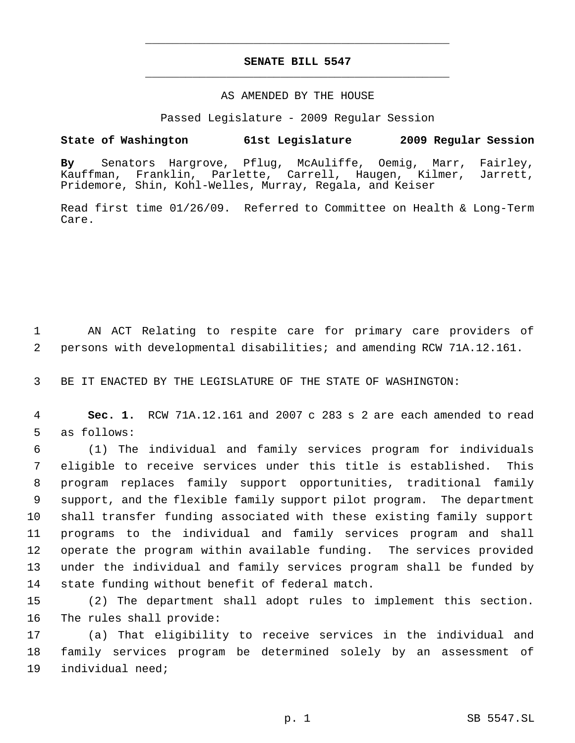## **SENATE BILL 5547** \_\_\_\_\_\_\_\_\_\_\_\_\_\_\_\_\_\_\_\_\_\_\_\_\_\_\_\_\_\_\_\_\_\_\_\_\_\_\_\_\_\_\_\_\_

\_\_\_\_\_\_\_\_\_\_\_\_\_\_\_\_\_\_\_\_\_\_\_\_\_\_\_\_\_\_\_\_\_\_\_\_\_\_\_\_\_\_\_\_\_

## AS AMENDED BY THE HOUSE

Passed Legislature - 2009 Regular Session

## **State of Washington 61st Legislature 2009 Regular Session**

**By** Senators Hargrove, Pflug, McAuliffe, Oemig, Marr, Fairley, Franklin, Parlette, Carrell, Haugen, Pridemore, Shin, Kohl-Welles, Murray, Regala, and Keiser

Read first time 01/26/09. Referred to Committee on Health & Long-Term Care.

 AN ACT Relating to respite care for primary care providers of persons with developmental disabilities; and amending RCW 71A.12.161.

BE IT ENACTED BY THE LEGISLATURE OF THE STATE OF WASHINGTON:

 **Sec. 1.** RCW 71A.12.161 and 2007 c 283 s 2 are each amended to read as follows:

 (1) The individual and family services program for individuals eligible to receive services under this title is established. This program replaces family support opportunities, traditional family support, and the flexible family support pilot program. The department shall transfer funding associated with these existing family support programs to the individual and family services program and shall operate the program within available funding. The services provided under the individual and family services program shall be funded by state funding without benefit of federal match.

 (2) The department shall adopt rules to implement this section. The rules shall provide:

 (a) That eligibility to receive services in the individual and family services program be determined solely by an assessment of individual need;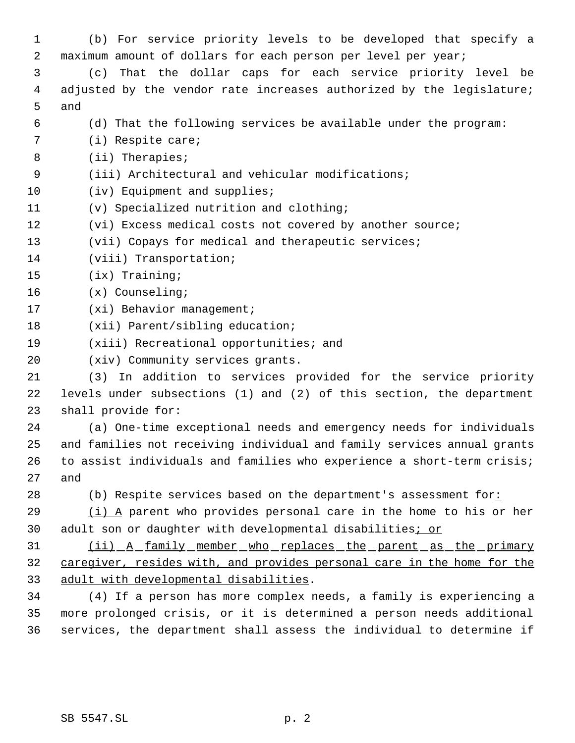(b) For service priority levels to be developed that specify a maximum amount of dollars for each person per level per year; (c) That the dollar caps for each service priority level be adjusted by the vendor rate increases authorized by the legislature; and (d) That the following services be available under the program: (i) Respite care; (ii) Therapies; (iii) Architectural and vehicular modifications; 10 (iv) Equipment and supplies; (v) Specialized nutrition and clothing; (vi) Excess medical costs not covered by another source; (vii) Copays for medical and therapeutic services; (viii) Transportation; (ix) Training; (x) Counseling; 17 (xi) Behavior management; (xii) Parent/sibling education; (xiii) Recreational opportunities; and (xiv) Community services grants. (3) In addition to services provided for the service priority levels under subsections (1) and (2) of this section, the department shall provide for: (a) One-time exceptional needs and emergency needs for individuals and families not receiving individual and family services annual grants to assist individuals and families who experience a short-term crisis; and 28 (b) Respite services based on the department's assessment for: (i) A parent who provides personal care in the home to his or her

30 adult son or daughter with developmental disabilities; or

 (ii) A family member who replaces the parent as the primary caregiver, resides with, and provides personal care in the home for the adult with developmental disabilities.

 (4) If a person has more complex needs, a family is experiencing a more prolonged crisis, or it is determined a person needs additional services, the department shall assess the individual to determine if